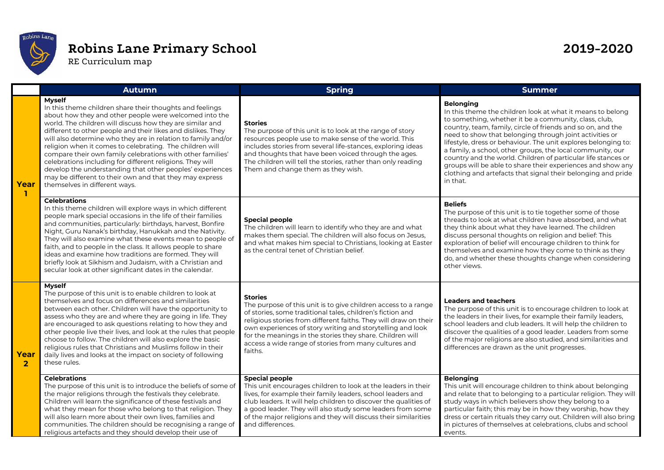

## **Robins Lane Primary School 2019-2020**

RE Curriculum map

|                        | <b>Autumn</b>                                                                                                                                                                                                                                                                                                                                                                                                                                                                                                                                                                                                                                                                     | <b>Spring</b>                                                                                                                                                                                                                                                                                                                                                                                                     | <b>Summer</b>                                                                                                                                                                                                                                                                                                                                                                                                                                                                                                                                                                                                 |
|------------------------|-----------------------------------------------------------------------------------------------------------------------------------------------------------------------------------------------------------------------------------------------------------------------------------------------------------------------------------------------------------------------------------------------------------------------------------------------------------------------------------------------------------------------------------------------------------------------------------------------------------------------------------------------------------------------------------|-------------------------------------------------------------------------------------------------------------------------------------------------------------------------------------------------------------------------------------------------------------------------------------------------------------------------------------------------------------------------------------------------------------------|---------------------------------------------------------------------------------------------------------------------------------------------------------------------------------------------------------------------------------------------------------------------------------------------------------------------------------------------------------------------------------------------------------------------------------------------------------------------------------------------------------------------------------------------------------------------------------------------------------------|
| Year<br>-1             | <b>Myself</b><br>In this theme children share their thoughts and feelings<br>about how they and other people were welcomed into the<br>world. The children will discuss how they are similar and<br>different to other people and their likes and dislikes. They<br>will also determine who they are in relation to family and/or<br>religion when it comes to celebrating. The children will<br>compare their own family celebrations with other families'<br>celebrations including for different religions. They will<br>develop the understanding that other peoples' experiences<br>may be different to their own and that they may express<br>themselves in different ways. | <b>Stories</b><br>The purpose of this unit is to look at the range of story<br>resources people use to make sense of the world. This<br>includes stories from several life-stances, exploring ideas<br>and thoughts that have been voiced through the ages.<br>The children will tell the stories, rather than only reading<br>Them and change them as they wish.                                                 | <b>Belonging</b><br>In this theme the children look at what it means to belong<br>to something, whether it be a community, class, club,<br>country, team, family, circle of friends and so on, and the<br>need to show that belonging through joint activities or<br>lifestyle, dress or behaviour. The unit explores belonging to:<br>a family, a school, other groups, the local community, our<br>country and the world. Children of particular life stances or<br>groups will be able to share their experiences and show any<br>clothing and artefacts that signal their belonging and pride<br>in that. |
|                        | <b>Celebrations</b><br>In this theme children will explore ways in which different<br>people mark special occasions in the life of their families<br>and communities, particularly: birthdays, harvest, Bonfire<br>Night, Guru Nanak's birthday, Hanukkah and the Nativity.<br>They will also examine what these events mean to people of<br>faith, and to people in the class. It allows people to share<br>ideas and examine how traditions are formed. They will<br>briefly look at Sikhism and Judaism, with a Christian and<br>secular look at other significant dates in the calendar.                                                                                      | <b>Special people</b><br>The children will learn to identify who they are and what<br>makes them special. The children will also focus on Jesus,<br>and what makes him special to Christians, looking at Easter<br>as the central tenet of Christian belief.                                                                                                                                                      | <b>Beliefs</b><br>The purpose of this unit is to tie together some of those<br>threads to look at what children have absorbed, and what<br>they think about what they have learned. The children<br>discuss personal thoughts on religion and belief: This<br>exploration of belief will encourage children to think for<br>themselves and examine how they come to think as they<br>do, and whether these thoughts change when considering<br>other views.                                                                                                                                                   |
| Year<br>$\overline{2}$ | <b>Myself</b><br>The purpose of this unit is to enable children to look at<br>themselves and focus on differences and similarities<br>between each other. Children will have the opportunity to<br>assess who they are and where they are going in life. They<br>are encouraged to ask questions relating to how they and<br>other people live their lives, and look at the rules that people<br>choose to follow. The children will also explore the basic<br>religious rules that Christians and Muslims follow in their<br>daily lives and looks at the impact on society of following<br>these rules.                                                                         | <b>Stories</b><br>The purpose of this unit is to give children access to a range<br>of stories, some traditional tales, children's fiction and<br>religious stories from different faiths. They will draw on their<br>own experiences of story writing and storytelling and look<br>for the meanings in the stories they share. Children will<br>access a wide range of stories from many cultures and<br>faiths. | <b>Leaders and teachers</b><br>The purpose of this unit is to encourage children to look at<br>the leaders in their lives, for example their family leaders,<br>school leaders and club leaders. It will help the children to<br>discover the qualities of a good leader. Leaders from some<br>of the major religions are also studied, and similarities and<br>differences are drawn as the unit progresses.                                                                                                                                                                                                 |
|                        | <b>Celebrations</b><br>The purpose of this unit is to introduce the beliefs of some of<br>the major religions through the festivals they celebrate.<br>Children will learn the significance of these festivals and<br>what they mean for those who belong to that religion. They<br>will also learn more about their own lives, families and<br>communities. The children should be recognising a range of<br>religious artefacts and they should develop their use of                                                                                                                                                                                                            | <b>Special people</b><br>This unit encourages children to look at the leaders in their<br>lives, for example their family leaders, school leaders and<br>club leaders. It will help children to discover the qualities of<br>a good leader. They will also study some leaders from some<br>of the major religions and they will discuss their similarities<br>and differences.                                    | <b>Belonging</b><br>This unit will encourage children to think about belonging<br>and relate that to belonging to a particular religion. They will<br>study ways in which believers show they belong to a<br>particular faith; this may be in how they worship, how they<br>dress or certain rituals they carry out. Children will also bring<br>in pictures of themselves at celebrations, clubs and school<br>events.                                                                                                                                                                                       |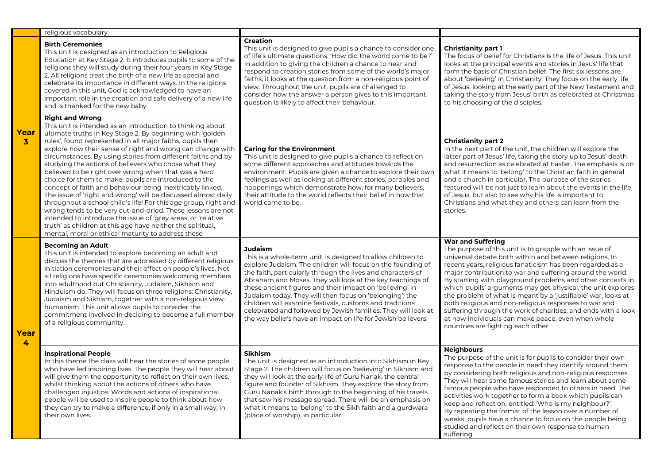|                      | religious vocabulary.                                                                                                                                                                                                                                                                                                                                                                                                                                                                                                                                                                                                                                                                                                                                                                                                                                                                                                                                                       |                                                                                                                                                                                                                                                                                                                                                                                                                                                                                                                                                                                             |                                                                                                                                                                                                                                                                                                                                                                                                                                                                                                                                                                                                                                                                                             |
|----------------------|-----------------------------------------------------------------------------------------------------------------------------------------------------------------------------------------------------------------------------------------------------------------------------------------------------------------------------------------------------------------------------------------------------------------------------------------------------------------------------------------------------------------------------------------------------------------------------------------------------------------------------------------------------------------------------------------------------------------------------------------------------------------------------------------------------------------------------------------------------------------------------------------------------------------------------------------------------------------------------|---------------------------------------------------------------------------------------------------------------------------------------------------------------------------------------------------------------------------------------------------------------------------------------------------------------------------------------------------------------------------------------------------------------------------------------------------------------------------------------------------------------------------------------------------------------------------------------------|---------------------------------------------------------------------------------------------------------------------------------------------------------------------------------------------------------------------------------------------------------------------------------------------------------------------------------------------------------------------------------------------------------------------------------------------------------------------------------------------------------------------------------------------------------------------------------------------------------------------------------------------------------------------------------------------|
| Year<br>$\mathbf{3}$ | <b>Birth Ceremonies</b><br>This unit is designed as an introduction to Religious<br>Education at Key Stage 2. It introduces pupils to some of the<br>religions they will study during their four years in Key Stage<br>2. All religions treat the birth of a new life as special and<br>celebrate its importance in different ways. In the religions<br>covered in this unit, God is acknowledged to have an<br>important role in the creation and safe delivery of a new life<br>and is thanked for the new baby.                                                                                                                                                                                                                                                                                                                                                                                                                                                          | <b>Creation</b><br>This unit is designed to give pupils a chance to consider one<br>of life's ultimate questions: 'How did the world come to be?'<br>In addition to giving the children a chance to hear and<br>respond to creation stories from some of the world's major<br>faiths, it looks at the question from a non-religious point of<br>view. Throughout the unit, pupils are challenged to<br>consider how the answer a person gives to this important<br>question is likely to affect their behaviour.                                                                            | <b>Christianity part 1</b><br>The focus of belief for Christians is the life of Jesus. This unit<br>looks at the principal events and stories in Jesus' life that<br>form the basis of Christian belief. The first six lessons are<br>about 'believing' in Christianity. They focus on the early life<br>of Jesus, looking at the early part of the New Testament and<br>taking the story from Jesus' birth as celebrated at Christmas<br>to his choosing of the disciples.                                                                                                                                                                                                                 |
|                      | <b>Right and Wrong</b><br>This unit is intended as an introduction to thinking about<br>ultimate truths in Key Stage 2. By beginning with 'golden<br>rules', found represented in all major faiths, pupils then<br>explore how their sense of right and wrong can change with<br>circumstances. By using stories from different faiths and by<br>studying the actions of believers who chose what they<br>believed to be right over wrong when that was a hard<br>choice for them to make, pupils are introduced to the<br>concept of faith and behaviour being inextricably linked.<br>The issue of 'right and wrong' will be discussed almost daily<br>throughout a school child's life! For this age group, right and<br>wrong tends to be very cut-and-dried. These lessons are not<br>intended to introduce the issue of 'grey areas' or 'relative<br>truth' as children at this age have neither the spiritual,<br>mental, moral or ethical maturity to address these | <b>Caring for the Environment</b><br>This unit is designed to give pupils a chance to reflect on<br>some different approaches and attitudes towards the<br>environment. Pupils are given a chance to explore their own<br>feelings as well as looking at different stories, parables and<br>happenings which demonstrate how, for many believers,<br>their attitude to the world reflects their belief in how that<br>world came to be.                                                                                                                                                     | <b>Christianity part 2</b><br>In the next part of the unit, the children will explore the<br>latter part of Jesus' life, taking the story up to Jesus' death<br>and resurrection as celebrated at Easter. The emphasis is on<br>what it means to 'belong' to the Christian faith in general<br>and a church in particular. The purpose of the stories<br>featured will be not just to learn about the events in the life<br>of Jesus, but also to see why his life is important to<br>Christians and what they and others can learn from the<br>stories.                                                                                                                                    |
| Year<br>4            | <b>Becoming an Adult</b><br>This unit is intended to explore becoming an adult and<br>discuss the themes that are addressed by different religious<br>initiation ceremonies and their effect on people's lives. Not<br>all religions have specific ceremonies welcoming members<br>into adulthood but Christianity, Judaism, Sikhism and<br>Hinduism do. They will focus on three religions: Christianity,<br>Judaism and Sikhism, together with a non-religious view:<br>humanism. This unit allows pupils to consider the<br>commitment involved in deciding to become a full member<br>of a religious community.                                                                                                                                                                                                                                                                                                                                                         | <b>Judaism</b><br>This is a whole-term unit, is designed to allow children to<br>explore Judaism. The children will focus on the founding of<br>the faith, particularly through the lives and characters of<br>Abraham and Moses. They will look at the key teachings of<br>these ancient figures and their impact on 'believing' in<br>Judaism today. They will then focus on 'belonging'; the<br>children will examine festivals, customs and traditions<br>celebrated and followed by Jewish families. They will look at<br>the way beliefs have an impact on life for Jewish believers. | <b>War and Suffering</b><br>The purpose of this unit is to grapple with an issue of<br>universal debate both within and between religions. In<br>recent years, religious fanaticism has been regarded as a<br>major contribution to war and suffering around the world.<br>By starting with playground problems and other contexts in<br>which pupils' arguments may get physical, the unit explores<br>the problem of what is meant by a 'justifiable' war, looks at<br>both religious and non-religious responses to war and<br>suffering through the work of charities, and ends with a look<br>at how individuals can make peace, even when whole<br>countries are fighting each other. |
|                      | <b>Inspirational People</b><br>In this theme the class will hear the stories of some people<br>who have led inspiring lives. The people they will hear about<br>will give them the opportunity to reflect on their own lives,<br>whilst thinking about the actions of others who have<br>challenged injustice. Words and actions of inspirational<br>people will be used to inspire people to think about how<br>they can try to make a difference, if only in a small way, in<br>their own lives.                                                                                                                                                                                                                                                                                                                                                                                                                                                                          | Sikhism<br>The unit is designed as an introduction into Sikhism in Key<br>Stage 2. The children will focus on 'believing' in Sikhism and<br>they will look at the early life of Guru Nanak, the central<br>figure and founder of Sikhism. They explore the story from<br>Guru Nanak's birth through to the beginning of his travels<br>that saw his message spread. There will be an emphasis on<br>what it means to 'belong' to the Sikh faith and a gurdwara<br>(place of worship), in particular.                                                                                        | <b>Neighbours</b><br>The purpose of the unit is for pupils to consider their own<br>response to the people in need they identify around them.<br>by considering both religious and non-religious responses.<br>They will hear some famous stories and learn about some<br>famous people who have responded to others in need. The<br>activities work together to form a book which pupils can<br>keep and reflect on, entitled: 'Who is my neighbour?'<br>By repeating the format of the lesson over a number of<br>weeks, pupils have a chance to focus on the people being<br>studied and reflect on their own response to human<br>suffering.                                            |